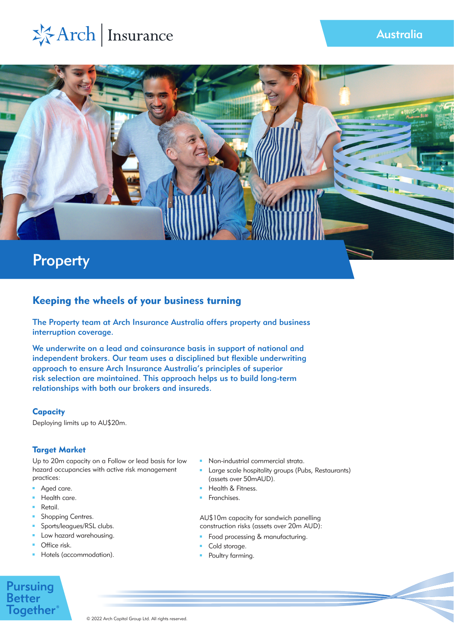# ※Arch | Insurance



# Keeping the wheels of your business turning

The Property team at Arch Insurance Australia offers property and business interruption coverage.

We underwrite on a lead and coinsurance basis in support of national and independent brokers. Our team uses a disciplined but flexible underwriting approach to ensure Arch Insurance Australia's principles of superior risk selection are maintained. This approach helps us to build long-term relationships with both our brokers and insureds.

## **Capacity**

Deploying limits up to AU\$20m.

## Target Market

Up to 20m capacity on a Follow or lead basis for low hazard occupancies with active risk management practices:

- Aged care.
- Health care. m.
- m. Retail.
- Shopping Centres.  $\mathbf{m}$  .
- Sports/leagues/RSL clubs. m.
- Low hazard warehousing.
- **O**ffice risk.
- Hotels (accommodation).
- Non-industrial commercial strata.
- Large scale hospitality groups (Pubs, Restaurants) (assets over 50mAUD).
- Health & Fitness.
- Franchises.

AU\$10m capacity for sandwich panelling construction risks (assets over 20m AUD):

- Food processing & manufacturing.
- Cold storage.
- **Poultry farming.**

# **Pursuing Better Together**